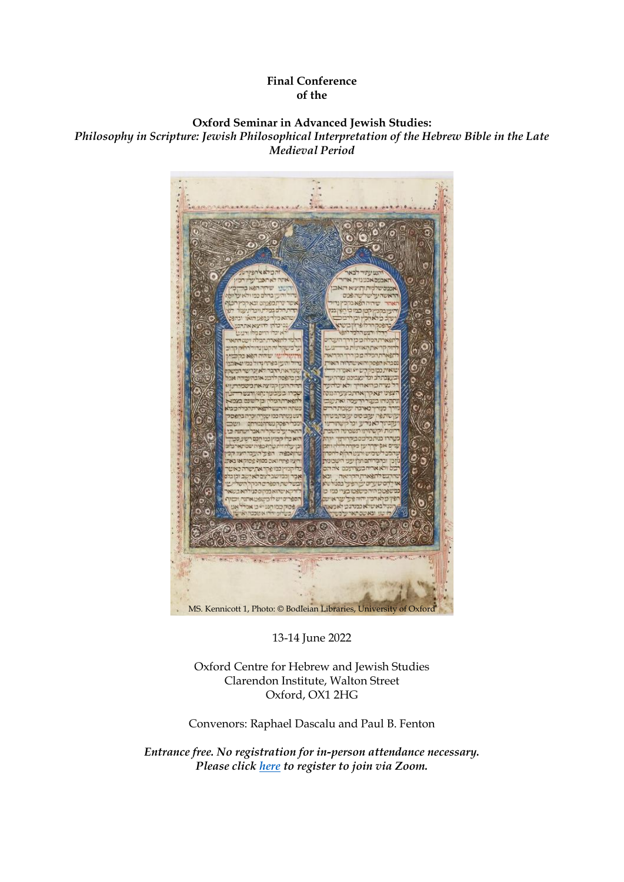## **Final Conference of the**

# **Oxford Seminar in Advanced Jewish Studies:**

*Philosophy in Scripture: Jewish Philosophical Interpretation of the Hebrew Bible in the Late Medieval Period*



13-14 June 2022

Oxford Centre for Hebrew and Jewish Studies Clarendon Institute, Walton Street Oxford, OX1 2HG

Convenors: Raphael Dascalu and Paul B. Fenton

*Entrance free. No registration for in-person attendance necessary. Please click [here](https://us02web.zoom.us/meeting/register/tZIqdeutqjwuGdZF1jeFK-_wvUfLVJ6opuWg) to register to join via Zoom.*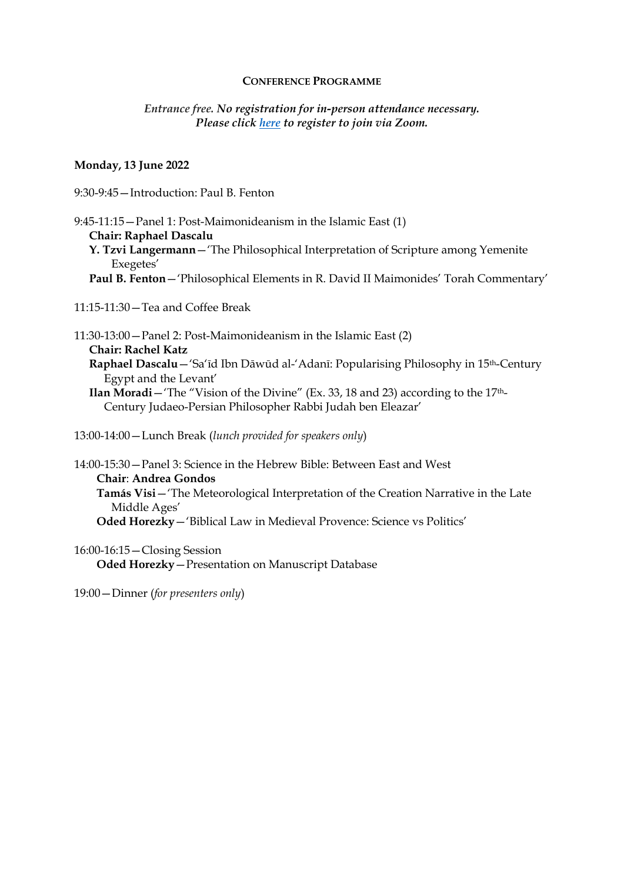### **CONFERENCE PROGRAMME**

# *Entrance free. No registration for in-person attendance necessary. Please click [here](https://us02web.zoom.us/meeting/register/tZIqdeutqjwuGdZF1jeFK-_wvUfLVJ6opuWg) to register to join via Zoom.*

## **Monday, 13 June 2022**

9:30-9:45—Introduction: Paul B. Fenton

9:45-11:15—Panel 1: Post-Maimonideanism in the Islamic East (1) **Chair: Raphael Dascalu Y. Tzvi Langermann**—'The Philosophical Interpretation of Scripture among Yemenite Exegetes' **Paul B. Fenton**—'Philosophical Elements in R. David II Maimonides' Torah Commentary'

11:15-11:30—Tea and Coffee Break

11:30-13:00—Panel 2: Post-Maimonideanism in the Islamic East (2) **Chair: Rachel Katz Raphael Dascalu**—'Sa'īd Ibn Dāwūd al-'Adanī: Popularising Philosophy in 15th-Century Egypt and the Levant' **Ilan Moradi**—'The "Vision of the Divine" (Ex. 33, 18 and 23) according to the 17th-Century Judaeo-Persian Philosopher Rabbi Judah ben Eleazar'

13:00-14:00—Lunch Break (*lunch provided for speakers only*)

14:00-15:30—Panel 3: Science in the Hebrew Bible: Between East and West **Chair**: **Andrea Gondos Tamás Visi**—'The Meteorological Interpretation of the Creation Narrative in the Late Middle Ages' **Oded Horezky**—'Biblical Law in Medieval Provence: Science vs Politics'

16:00-16:15—Closing Session **Oded Horezky**—Presentation on Manuscript Database

19:00—Dinner (*for presenters only*)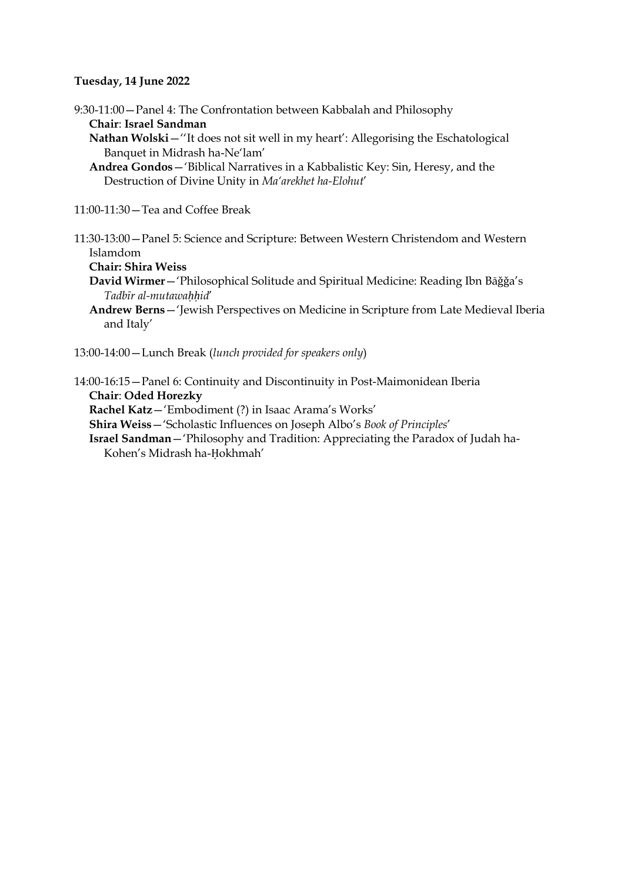# **Tuesday, 14 June 2022**

9:30-11:00—Panel 4: The Confrontation between Kabbalah and Philosophy **Chair**: **Israel Sandman**

**Nathan Wolski**—''It does not sit well in my heart': Allegorising the Eschatological Banquet in Midrash ha-Ne'lam'

**Andrea Gondos**—'Biblical Narratives in a Kabbalistic Key: Sin, Heresy, and the Destruction of Divine Unity in *Ma'arekhet ha-Elohut*'

11:00-11:30—Tea and Coffee Break

11:30-13:00—Panel 5: Science and Scripture: Between Western Christendom and Western Islamdom

#### **Chair: Shira Weiss**

**David Wirmer**—'Philosophical Solitude and Spiritual Medicine: Reading Ibn Bāǧǧa's *Tadbīr al-mutawaḥḥid*'

- **Andrew Berns**—'Jewish Perspectives on Medicine in Scripture from Late Medieval Iberia and Italy'
- 13:00-14:00—Lunch Break (*lunch provided for speakers only*)

14:00-16:15—Panel 6: Continuity and Discontinuity in Post-Maimonidean Iberia **Chair**: **Oded Horezky**

**Rachel Katz**—'Embodiment (?) in Isaac Arama's Works'

**Shira Weiss**—'Scholastic Influences on Joseph Albo's *Book of Principles*'

**Israel Sandman**—'Philosophy and Tradition: Appreciating the Paradox of Judah ha-Kohen's Midrash ha-Ḥokhmah'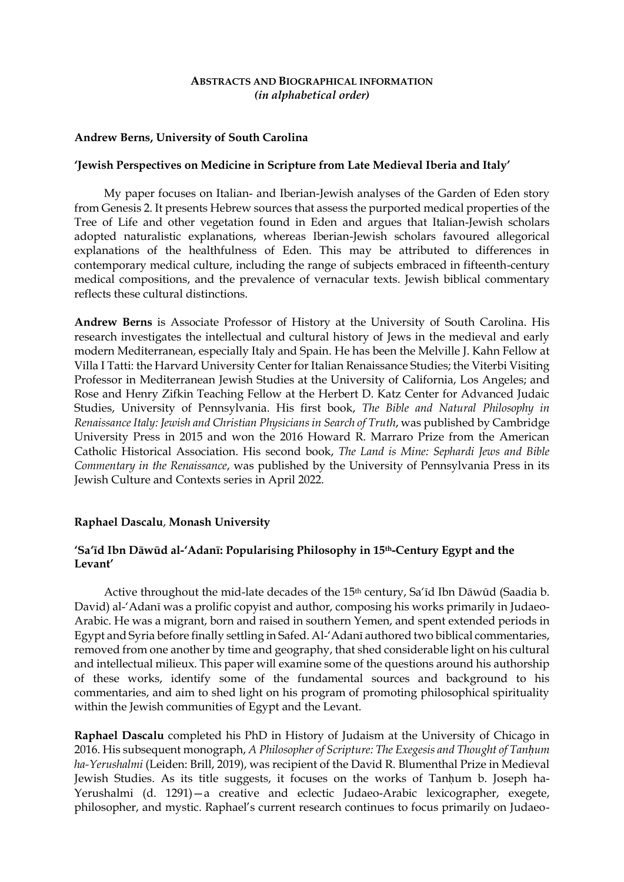### **ABSTRACTS AND BIOGRAPHICAL INFORMATION** *(in alphabetical order)*

## **Andrew Berns, University of South Carolina**

### **'Jewish Perspectives on Medicine in Scripture from Late Medieval Iberia and Italy'**

My paper focuses on Italian- and Iberian-Jewish analyses of the Garden of Eden story from Genesis 2. It presents Hebrew sources that assess the purported medical properties of the Tree of Life and other vegetation found in Eden and argues that Italian-Jewish scholars adopted naturalistic explanations, whereas Iberian-Jewish scholars favoured allegorical explanations of the healthfulness of Eden. This may be attributed to differences in contemporary medical culture, including the range of subjects embraced in fifteenth-century medical compositions, and the prevalence of vernacular texts. Jewish biblical commentary reflects these cultural distinctions.

**Andrew Berns** is Associate Professor of History at the University of South Carolina. His research investigates the intellectual and cultural history of Jews in the medieval and early modern Mediterranean, especially Italy and Spain. He has been the Melville J. Kahn Fellow at Villa I Tatti: the Harvard University Center for Italian Renaissance Studies; the Viterbi Visiting Professor in Mediterranean Jewish Studies at the University of California, Los Angeles; and Rose and Henry Zifkin Teaching Fellow at the Herbert D. Katz Center for Advanced Judaic Studies, University of Pennsylvania. His first book, *The Bible and Natural Philosophy in Renaissance Italy: Jewish and Christian Physicians in Search of Truth*, was published by Cambridge University Press in 2015 and won the 2016 Howard R. Marraro Prize from the American Catholic Historical Association. His second book, *The Land is Mine: Sephardi Jews and Bible Commentary in the Renaissance*, was published by the University of Pennsylvania Press in its Jewish Culture and Contexts series in April 2022.

# **Raphael Dascalu**, **Monash University**

# **'Sa'īd Ibn Dāwūd al-'Adanī: Popularising Philosophy in 15th-Century Egypt and the Levant'**

Active throughout the mid-late decades of the 15<sup>th</sup> century, Sa'id Ibn Dāwūd (Saadia b. David) al-'Adanī was a prolific copyist and author, composing his works primarily in Judaeo-Arabic. He was a migrant, born and raised in southern Yemen, and spent extended periods in Egypt and Syria before finally settling in Safed. Al-'Adanī authored two biblical commentaries, removed from one another by time and geography, that shed considerable light on his cultural and intellectual milieux. This paper will examine some of the questions around his authorship of these works, identify some of the fundamental sources and background to his commentaries, and aim to shed light on his program of promoting philosophical spirituality within the Jewish communities of Egypt and the Levant.

**Raphael Dascalu** completed his PhD in History of Judaism at the University of Chicago in 2016. His subsequent monograph, *A Philosopher of Scripture: The Exegesis and Thought of Tanḥum ha-Yerushalmi* (Leiden: Brill, 2019), was recipient of the David R. Blumenthal Prize in Medieval Jewish Studies. As its title suggests, it focuses on the works of Tanḥum b. Joseph ha-Yerushalmi (d. 1291)—a creative and eclectic Judaeo-Arabic lexicographer, exegete, philosopher, and mystic. Raphael's current research continues to focus primarily on Judaeo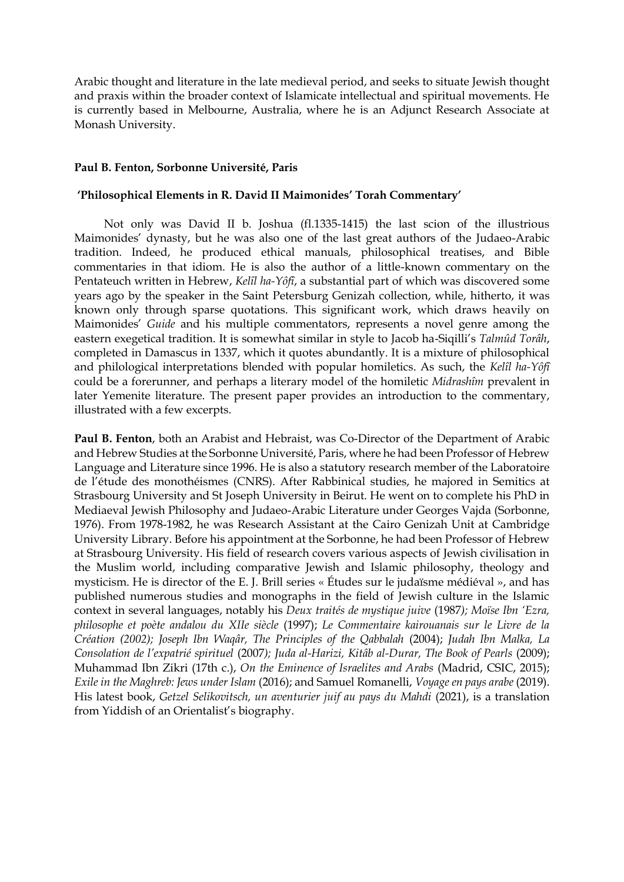Arabic thought and literature in the late medieval period, and seeks to situate Jewish thought and praxis within the broader context of Islamicate intellectual and spiritual movements. He is currently based in Melbourne, Australia, where he is an Adjunct Research Associate at Monash University.

## **Paul B. Fenton, Sorbonne Université, Paris**

## **'Philosophical Elements in R. David II Maimonides' Torah Commentary'**

Not only was David II b. Joshua (fl.1335-1415) the last scion of the illustrious Maimonides' dynasty, but he was also one of the last great authors of the Judaeo-Arabic tradition. Indeed, he produced ethical manuals, philosophical treatises, and Bible commentaries in that idiom. He is also the author of a little-known commentary on the Pentateuch written in Hebrew, *Kelîl ha-Yôfî*, a substantial part of which was discovered some years ago by the speaker in the Saint Petersburg Genizah collection, while, hitherto, it was known only through sparse quotations. This significant work, which draws heavily on Maimonides' *Guide* and his multiple commentators, represents a novel genre among the eastern exegetical tradition. It is somewhat similar in style to Jacob ha-Siqilli's *Talmûd Torâh*, completed in Damascus in 1337, which it quotes abundantly. It is a mixture of philosophical and philological interpretations blended with popular homiletics. As such, the *Kelîl ha-Yôfî* could be a forerunner, and perhaps a literary model of the homiletic *Midrashîm* prevalent in later Yemenite literature. The present paper provides an introduction to the commentary, illustrated with a few excerpts.

**Paul B. Fenton**, both an Arabist and Hebraist, was Co-Director of the Department of Arabic and Hebrew Studies at the Sorbonne Université, Paris, where he had been Professor of Hebrew Language and Literature since 1996. He is also a statutory research member of the Laboratoire de l'étude des monothéismes (CNRS). After Rabbinical studies, he majored in Semitics at Strasbourg University and St Joseph University in Beirut. He went on to complete his PhD in Mediaeval Jewish Philosophy and Judaeo-Arabic Literature under Georges Vajda (Sorbonne, 1976). From 1978-1982, he was Research Assistant at the Cairo Genizah Unit at Cambridge University Library. Before his appointment at the Sorbonne, he had been Professor of Hebrew at Strasbourg University. His field of research covers various aspects of Jewish civilisation in the Muslim world, including comparative Jewish and Islamic philosophy, theology and mysticism. He is director of the E. J. Brill series « Études sur le judaïsme médiéval », and has published numerous studies and monographs in the field of Jewish culture in the Islamic context in several languages, notably his *Deux traités de mystique juive* (1987*); Moïse Ibn 'Ezra, philosophe et poète andalou du XIIe siècle* (1997); *Le Commentaire kairouanais sur le Livre de la Création (2002); Joseph Ibn Waqâr, The Principles of the Qabbalah* (2004); *Judah Ibn Malka, La Consolation de l'expatrié spirituel* (2007*); Juda al-Harizi, Kitâb al-Durar, The Book of Pearls* (2009); Muhammad Ibn Zikri (17th c.), *On the Eminence of Israelites and Arabs* (Madrid, CSIC, 2015); *Exile in the Maghreb: Jews under Islam* (2016); and Samuel Romanelli, *Voyage en pays arabe* (2019). His latest book, *Getzel Selikovitsch, un aventurier juif au pays du Mahdi* (2021), is a translation from Yiddish of an Orientalist's biography.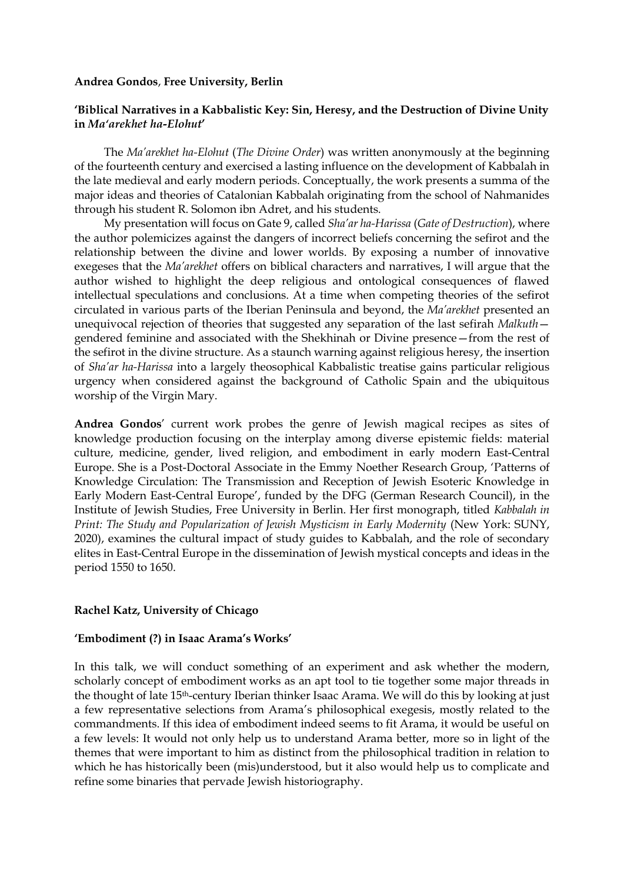### **Andrea Gondos**, **Free University, Berlin**

## **'Biblical Narratives in a Kabbalistic Key: Sin, Heresy, and the Destruction of Divine Unity in** *Ma'arekhet ha-Elohut***'**

The *Ma'arekhet ha-Elohut* (*The Divine Order*) was written anonymously at the beginning of the fourteenth century and exercised a lasting influence on the development of Kabbalah in the late medieval and early modern periods. Conceptually, the work presents a summa of the major ideas and theories of Catalonian Kabbalah originating from the school of Nahmanides through his student R. Solomon ibn Adret, and his students.

My presentation will focus on Gate 9, called *Sha'ar ha-Harissa* (*Gate of Destruction*), where the author polemicizes against the dangers of incorrect beliefs concerning the sefirot and the relationship between the divine and lower worlds. By exposing a number of innovative exegeses that the *Ma'arekhet* offers on biblical characters and narratives, I will argue that the author wished to highlight the deep religious and ontological consequences of flawed intellectual speculations and conclusions. At a time when competing theories of the sefirot circulated in various parts of the Iberian Peninsula and beyond, the *Ma'arekhet* presented an unequivocal rejection of theories that suggested any separation of the last sefirah *Malkuth* gendered feminine and associated with the Shekhinah or Divine presence—from the rest of the sefirot in the divine structure. As a staunch warning against religious heresy, the insertion of *Sha'ar ha-Harissa* into a largely theosophical Kabbalistic treatise gains particular religious urgency when considered against the background of Catholic Spain and the ubiquitous worship of the Virgin Mary.

**Andrea Gondos**' current work probes the genre of Jewish magical recipes as sites of knowledge production focusing on the interplay among diverse epistemic fields: material culture, medicine, gender, lived religion, and embodiment in early modern East-Central Europe. She is a Post-Doctoral Associate in the Emmy Noether Research Group, 'Patterns of Knowledge Circulation: The Transmission and Reception of Jewish Esoteric Knowledge in Early Modern East-Central Europe', funded by the DFG (German Research Council), in the Institute of Jewish Studies, Free University in Berlin. Her first monograph, titled *Kabbalah in Print: The Study and Popularization of Jewish Mysticism in Early Modernity* (New York: SUNY, 2020), examines the cultural impact of study guides to Kabbalah, and the role of secondary elites in East-Central Europe in the dissemination of Jewish mystical concepts and ideas in the period 1550 to 1650.

### **Rachel Katz, University of Chicago**

### **'Embodiment (?) in Isaac Arama's Works'**

In this talk, we will conduct something of an experiment and ask whether the modern, scholarly concept of embodiment works as an apt tool to tie together some major threads in the thought of late 15th-century Iberian thinker Isaac Arama. We will do this by looking at just a few representative selections from Arama's philosophical exegesis, mostly related to the commandments. If this idea of embodiment indeed seems to fit Arama, it would be useful on a few levels: It would not only help us to understand Arama better, more so in light of the themes that were important to him as distinct from the philosophical tradition in relation to which he has historically been (mis)understood, but it also would help us to complicate and refine some binaries that pervade Jewish historiography.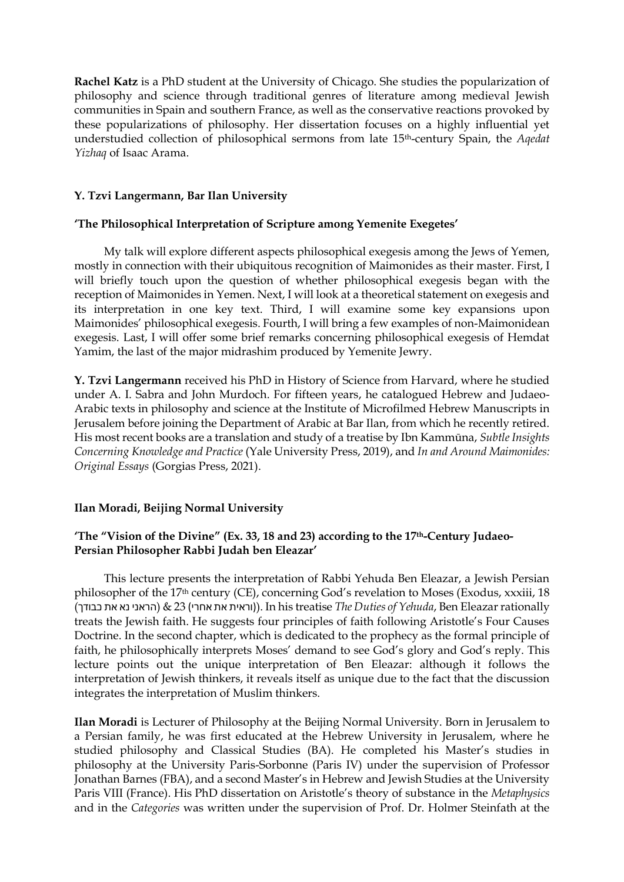**Rachel Katz** is a PhD student at the University of Chicago. She studies the popularization of philosophy and science through traditional genres of literature among medieval Jewish communities in Spain and southern France, as well as the conservative reactions provoked by these popularizations of philosophy. Her dissertation focuses on a highly influential yet understudied collection of philosophical sermons from late 15th-century Spain, the *Aqedat Yizhaq* of Isaac Arama.

# **Y. Tzvi Langermann, Bar Ilan University**

# **'The Philosophical Interpretation of Scripture among Yemenite Exegetes'**

My talk will explore different aspects philosophical exegesis among the Jews of Yemen, mostly in connection with their ubiquitous recognition of Maimonides as their master. First, I will briefly touch upon the question of whether philosophical exegesis began with the reception of Maimonides in Yemen. Next, I will look at a theoretical statement on exegesis and its interpretation in one key text. Third, I will examine some key expansions upon Maimonides' philosophical exegesis. Fourth, I will bring a few examples of non-Maimonidean exegesis. Last, I will offer some brief remarks concerning philosophical exegesis of Hemdat Yamim, the last of the major midrashim produced by Yemenite Jewry.

**Y. Tzvi Langermann** received his PhD in History of Science from Harvard, where he studied under A. I. Sabra and John Murdoch. For fifteen years, he catalogued Hebrew and Judaeo-Arabic texts in philosophy and science at the Institute of Microfilmed Hebrew Manuscripts in Jerusalem before joining the Department of Arabic at Bar Ilan, from which he recently retired. His most recent books are a translation and study of a treatise by Ibn Kammūna, *Subtle Insights Concerning Knowledge and Practice* (Yale University Press, 2019), and *In and Around Maimonides: Original Essays* (Gorgias Press, 2021).

# **Ilan Moradi, Beijing Normal University**

# **'The "Vision of the Divine" (Ex. 33, 18 and 23) according to the 17th-Century Judaeo-Persian Philosopher Rabbi Judah ben Eleazar'**

This lecture presents the interpretation of Rabbi Yehuda Ben Eleazar, a Jewish Persian philosopher of the 17th century (CE), concerning God's revelation to Moses (Exodus, xxxiii, 18 (כבודך את נא הראני & (23( אחרי את וראית(). In his treatise *The Duties of Yehuda*, Ben Eleazar rationally treats the Jewish faith. He suggests four principles of faith following Aristotle's Four Causes Doctrine. In the second chapter, which is dedicated to the prophecy as the formal principle of faith, he philosophically interprets Moses' demand to see God's glory and God's reply. This lecture points out the unique interpretation of Ben Eleazar: although it follows the interpretation of Jewish thinkers, it reveals itself as unique due to the fact that the discussion integrates the interpretation of Muslim thinkers.

**Ilan Moradi** is Lecturer of Philosophy at the Beijing Normal University. Born in Jerusalem to a Persian family, he was first educated at the Hebrew University in Jerusalem, where he studied philosophy and Classical Studies (BA). He completed his Master's studies in philosophy at the University Paris-Sorbonne (Paris IV) under the supervision of Professor Jonathan Barnes (FBA), and a second Master's in Hebrew and Jewish Studies at the University Paris VIII (France). His PhD dissertation on Aristotle's theory of substance in the *Metaphysics* and in the *Categories* was written under the supervision of Prof. Dr. Holmer Steinfath at the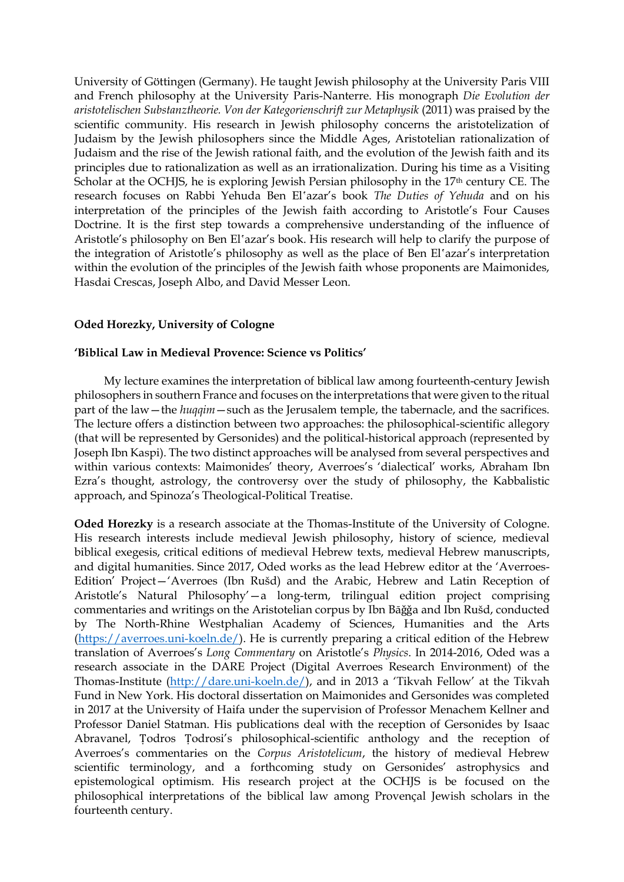University of Göttingen (Germany). He taught Jewish philosophy at the University Paris VIII and French philosophy at the University Paris-Nanterre. His monograph *Die Evolution der aristotelischen Substanztheorie. Von der Kategorienschrift zur Metaphysik* (2011) was praised by the scientific community. His research in Jewish philosophy concerns the aristotelization of Judaism by the Jewish philosophers since the Middle Ages, Aristotelian rationalization of Judaism and the rise of the Jewish rational faith, and the evolution of the Jewish faith and its principles due to rationalization as well as an irrationalization. During his time as a Visiting Scholar at the OCHJS, he is exploring Jewish Persian philosophy in the 17<sup>th</sup> century CE. The research focuses on Rabbi Yehuda Ben El'azar's book *The Duties of Yehuda* and on his interpretation of the principles of the Jewish faith according to Aristotle's Four Causes Doctrine. It is the first step towards a comprehensive understanding of the influence of Aristotle's philosophy on Ben El'azar's book. His research will help to clarify the purpose of the integration of Aristotle's philosophy as well as the place of Ben El'azar's interpretation within the evolution of the principles of the Jewish faith whose proponents are Maimonides, Hasdai Crescas, Joseph Albo, and David Messer Leon.

# **Oded Horezky, University of Cologne**

# **'Biblical Law in Medieval Provence: Science vs Politics'**

My lecture examines the interpretation of biblical law among fourteenth-century Jewish philosophers in southern France and focuses on the interpretations that were given to the ritual part of the law—the *huqqim*—such as the Jerusalem temple, the tabernacle, and the sacrifices. The lecture offers a distinction between two approaches: the philosophical-scientific allegory (that will be represented by Gersonides) and the political-historical approach (represented by Joseph Ibn Kaspi). The two distinct approaches will be analysed from several perspectives and within various contexts: Maimonides' theory, Averroes's 'dialectical' works, Abraham Ibn Ezra's thought, astrology, the controversy over the study of philosophy, the Kabbalistic approach, and Spinoza's Theological-Political Treatise.

**Oded Horezky** is a research associate at the Thomas-Institute of the University of Cologne. His research interests include medieval Jewish philosophy, history of science, medieval biblical exegesis, critical editions of medieval Hebrew texts, medieval Hebrew manuscripts, and digital humanities. Since 2017, Oded works as the lead Hebrew editor at the 'Averroes-Edition' Project—'Averroes (Ibn Rušd) and the Arabic, Hebrew and Latin Reception of Aristotle's Natural Philosophy'—a long-term, trilingual edition project comprising commentaries and writings on the Aristotelian corpus by Ibn Bāǧǧa and Ibn Rušd, conducted by The North-Rhine Westphalian Academy of Sciences, Humanities and the Arts [\(https://averroes.uni-koeln.de/\)](https://averroes.uni-koeln.de/). He is currently preparing a critical edition of the Hebrew translation of Averroes's *Long Commentary* on Aristotle's *Physics*. In 2014-2016, Oded was a research associate in the DARE Project (Digital Averroes Research Environment) of the Thomas-Institute [\(http://dare.uni-koeln.de/\)](http://dare.uni-koeln.de/), and in 2013 a 'Tikvah Fellow' at the Tikvah Fund in New York. His doctoral dissertation on Maimonides and Gersonides was completed in 2017 at the University of Haifa under the supervision of Professor Menachem Kellner and Professor Daniel Statman. His publications deal with the reception of Gersonides by Isaac Abravanel, Ṭodros Ṭodrosi's philosophical-scientific anthology and the reception of Averroes's commentaries on the *Corpus Aristotelicum*, the history of medieval Hebrew scientific terminology, and a forthcoming study on Gersonides' astrophysics and epistemological optimism. His research project at the OCHJS is be focused on the philosophical interpretations of the biblical law among Provençal Jewish scholars in the fourteenth century.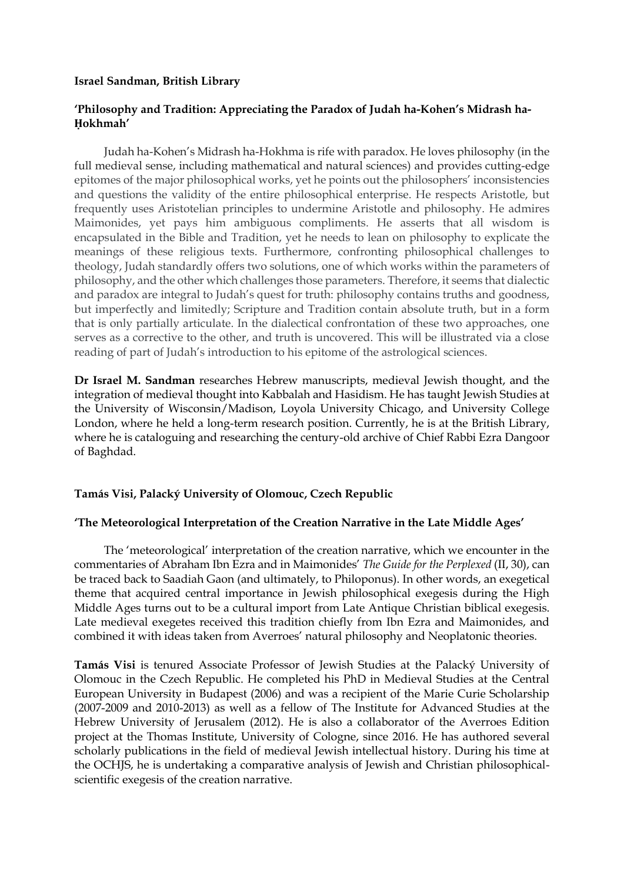## **Israel Sandman, British Library**

# **'Philosophy and Tradition: Appreciating the Paradox of Judah ha-Kohen's Midrash ha-Ḥokhmah'**

Judah ha-Kohen's Midrash ha-Hokhma is rife with paradox. He loves philosophy (in the full medieval sense, including mathematical and natural sciences) and provides cutting-edge epitomes of the major philosophical works, yet he points out the philosophers' inconsistencies and questions the validity of the entire philosophical enterprise. He respects Aristotle, but frequently uses Aristotelian principles to undermine Aristotle and philosophy. He admires Maimonides, yet pays him ambiguous compliments. He asserts that all wisdom is encapsulated in the Bible and Tradition, yet he needs to lean on philosophy to explicate the meanings of these religious texts. Furthermore, confronting philosophical challenges to theology, Judah standardly offers two solutions, one of which works within the parameters of philosophy, and the other which challenges those parameters. Therefore, it seems that dialectic and paradox are integral to Judah's quest for truth: philosophy contains truths and goodness, but imperfectly and limitedly; Scripture and Tradition contain absolute truth, but in a form that is only partially articulate. In the dialectical confrontation of these two approaches, one serves as a corrective to the other, and truth is uncovered. This will be illustrated via a close reading of part of Judah's introduction to his epitome of the astrological sciences.

**Dr Israel M. Sandman** researches Hebrew manuscripts, medieval Jewish thought, and the integration of medieval thought into Kabbalah and Hasidism. He has taught Jewish Studies at the University of Wisconsin/Madison, Loyola University Chicago, and University College London, where he held a long-term research position. Currently, he is at the British Library, where he is cataloguing and researching the century-old archive of Chief Rabbi Ezra Dangoor of Baghdad.

# **Tamás Visi, Palacký University of Olomouc, Czech Republic**

# **'The Meteorological Interpretation of the Creation Narrative in the Late Middle Ages'**

The 'meteorological' interpretation of the creation narrative, which we encounter in the commentaries of Abraham Ibn Ezra and in Maimonides' *The Guide for the Perplexed* (II, 30), can be traced back to Saadiah Gaon (and ultimately, to Philoponus). In other words, an exegetical theme that acquired central importance in Jewish philosophical exegesis during the High Middle Ages turns out to be a cultural import from Late Antique Christian biblical exegesis. Late medieval exegetes received this tradition chiefly from Ibn Ezra and Maimonides, and combined it with ideas taken from Averroes' natural philosophy and Neoplatonic theories.

**Tamás Visi** is tenured Associate Professor of Jewish Studies at the Palacký University of Olomouc in the Czech Republic. He completed his PhD in Medieval Studies at the Central European University in Budapest (2006) and was a recipient of the Marie Curie Scholarship (2007-2009 and 2010-2013) as well as a fellow of The Institute for Advanced Studies at the Hebrew University of Jerusalem (2012). He is also a collaborator of the Averroes Edition project at the Thomas Institute, University of Cologne, since 2016. He has authored several scholarly publications in the field of medieval Jewish intellectual history. During his time at the OCHJS, he is undertaking a comparative analysis of Jewish and Christian philosophicalscientific exegesis of the creation narrative.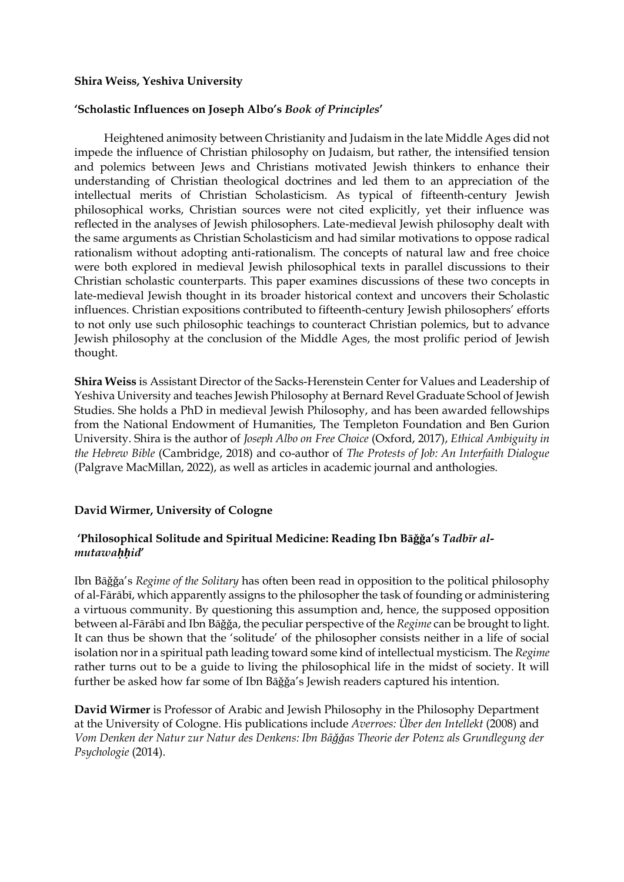## **Shira Weiss, Yeshiva University**

## **'Scholastic Influences on Joseph Albo's** *Book of Principles***'**

Heightened animosity between Christianity and Judaism in the late Middle Ages did not impede the influence of Christian philosophy on Judaism, but rather, the intensified tension and polemics between Jews and Christians motivated Jewish thinkers to enhance their understanding of Christian theological doctrines and led them to an appreciation of the intellectual merits of Christian Scholasticism. As typical of fifteenth-century Jewish philosophical works, Christian sources were not cited explicitly, yet their influence was reflected in the analyses of Jewish philosophers. Late-medieval Jewish philosophy dealt with the same arguments as Christian Scholasticism and had similar motivations to oppose radical rationalism without adopting anti-rationalism. The concepts of natural law and free choice were both explored in medieval Jewish philosophical texts in parallel discussions to their Christian scholastic counterparts. This paper examines discussions of these two concepts in late-medieval Jewish thought in its broader historical context and uncovers their Scholastic influences. Christian expositions contributed to fifteenth-century Jewish philosophers' efforts to not only use such philosophic teachings to counteract Christian polemics, but to advance Jewish philosophy at the conclusion of the Middle Ages, the most prolific period of Jewish thought.

**Shira Weiss** is Assistant Director of the Sacks-Herenstein Center for Values and Leadership of Yeshiva University and teaches Jewish Philosophy at Bernard Revel Graduate School of Jewish Studies. She holds a PhD in medieval Jewish Philosophy, and has been awarded fellowships from the National Endowment of Humanities, The Templeton Foundation and Ben Gurion University. Shira is the author of *Joseph Albo on Free Choice* (Oxford, 2017), *Ethical Ambiguity in the Hebrew Bible* (Cambridge, 2018) and co-author of *The Protests of Job: An Interfaith Dialogue* (Palgrave MacMillan, 2022), as well as articles in academic journal and anthologies.

# **David Wirmer, University of Cologne**

# **'Philosophical Solitude and Spiritual Medicine: Reading Ibn Bāǧǧa's** *Tadbīr almutawaḥḥid***'**

Ibn Bāǧǧa's *Regime of the Solitary* has often been read in opposition to the political philosophy of al-Fārābī, which apparently assigns to the philosopher the task of founding or administering a virtuous community. By questioning this assumption and, hence, the supposed opposition between al-Fārābī and Ibn Bāǧǧa, the peculiar perspective of the *Regime* can be brought to light. It can thus be shown that the 'solitude' of the philosopher consists neither in a life of social isolation nor in a spiritual path leading toward some kind of intellectual mysticism. The *Regime* rather turns out to be a guide to living the philosophical life in the midst of society. It will further be asked how far some of Ibn Bāǧǧa's Jewish readers captured his intention.

**David Wirmer** is Professor of Arabic and Jewish Philosophy in the Philosophy Department at the University of Cologne. His publications include *Averroes: Über den Intellekt* (2008) and *Vom Denken der Natur zur Natur des Denkens: Ibn Bāǧǧas Theorie der Potenz als Grundlegung der Psychologie* (2014).